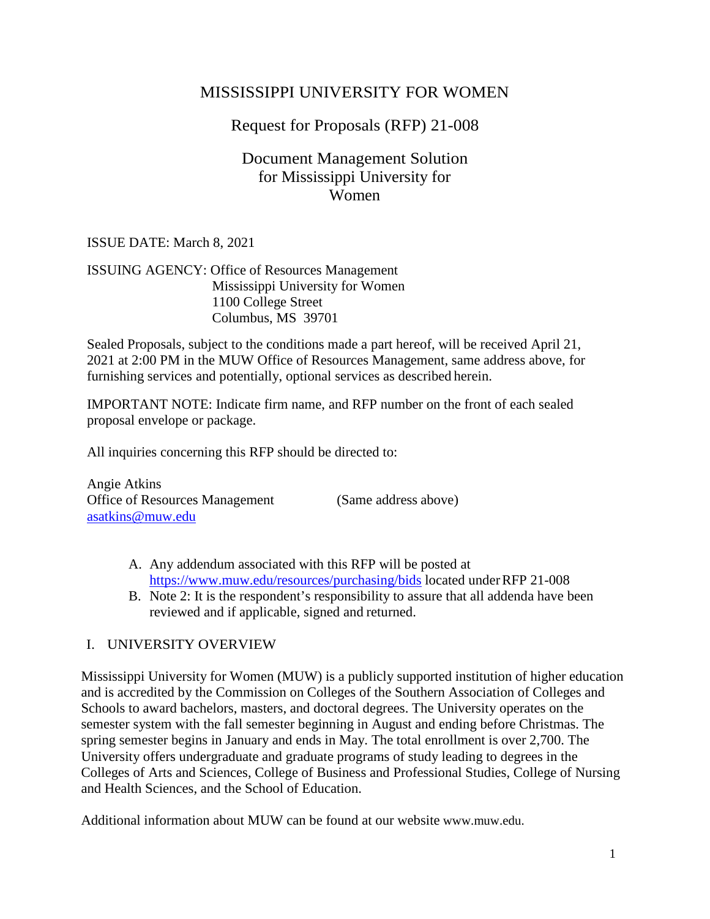# MISSISSIPPI UNIVERSITY FOR WOMEN

# Request for Proposals (RFP) 21-008

## Document Management Solution for Mississippi University for Women

### ISSUE DATE: March 8, 2021

### ISSUING AGENCY: Office of Resources Management Mississippi University for Women 1100 College Street Columbus, MS 39701

Sealed Proposals, subject to the conditions made a part hereof, will be received April 21, 2021 at 2:00 PM in the MUW Office of Resources Management, same address above, for furnishing services and potentially, optional services as described herein.

IMPORTANT NOTE: Indicate firm name, and RFP number on the front of each sealed proposal envelope or package.

All inquiries concerning this RFP should be directed to:

Angie Atkins Office of Resources Management (Same address above) [asatkins@muw.edu](mailto:asatkins@muw.edu)

- A. Any addendum associated with this RFP will be posted a[t](http://www.procurement.msstate.edu/procurement/bids/index.php) <https://www.muw.edu/resources/purchasing/bids> located under RFP 21-008
- B. Note 2: It is the respondent's responsibility to assure that all addenda have been reviewed and if applicable, signed and returned.

## I. UNIVERSITY OVERVIEW

Mississippi University for Women (MUW) is a publicly supported institution of higher education and is accredited by the Commission on Colleges of the Southern Association of Colleges and Schools to award bachelors, masters, and doctoral degrees. The University operates on the semester system with the fall semester beginning in August and ending before Christmas. The spring semester begins in January and ends in May. The total enrollment is over 2,700. The University offers undergraduate and graduate programs of study leading to degrees in the Colleges of Arts and Sciences, College of Business and Professional Studies, College of Nursing and Health Sciences, and the School of Education.

Additional information about MUW can be found at our website www.muw.edu.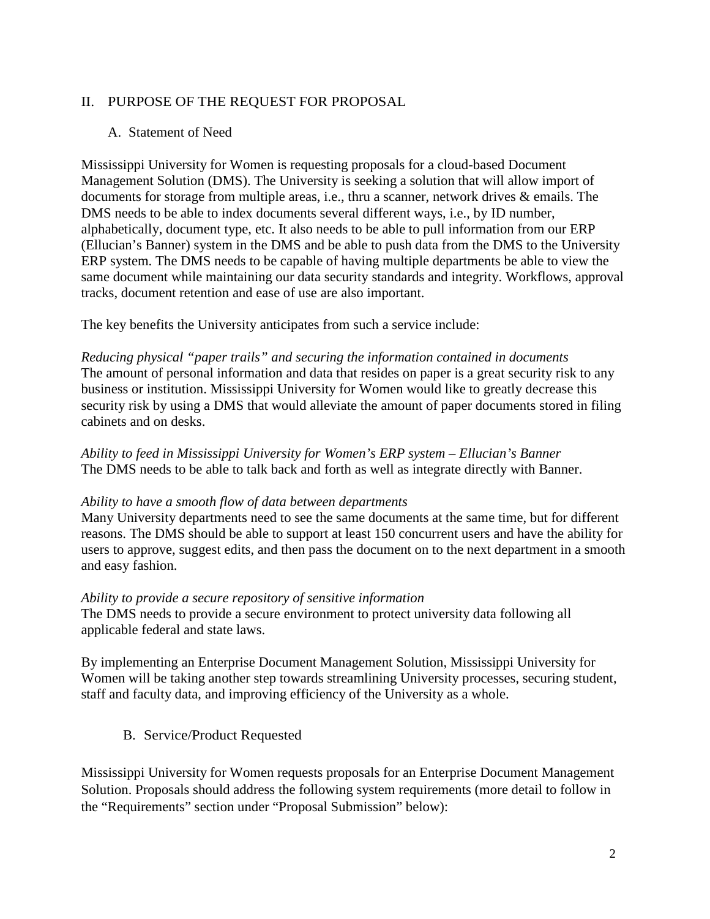### II. PURPOSE OF THE REQUEST FOR PROPOSAL

### A. Statement of Need

Mississippi University for Women is requesting proposals for a cloud-based Document Management Solution (DMS). The University is seeking a solution that will allow import of documents for storage from multiple areas, i.e., thru a scanner, network drives & emails. The DMS needs to be able to index documents several different ways, i.e., by ID number, alphabetically, document type, etc. It also needs to be able to pull information from our ERP (Ellucian's Banner) system in the DMS and be able to push data from the DMS to the University ERP system. The DMS needs to be capable of having multiple departments be able to view the same document while maintaining our data security standards and integrity. Workflows, approval tracks, document retention and ease of use are also important.

The key benefits the University anticipates from such a service include:

*Reducing physical "paper trails" and securing the information contained in documents* The amount of personal information and data that resides on paper is a great security risk to any business or institution. Mississippi University for Women would like to greatly decrease this security risk by using a DMS that would alleviate the amount of paper documents stored in filing cabinets and on desks.

*Ability to feed in Mississippi University for Women's ERP system – Ellucian's Banner* The DMS needs to be able to talk back and forth as well as integrate directly with Banner.

### *Ability to have a smooth flow of data between departments*

Many University departments need to see the same documents at the same time, but for different reasons. The DMS should be able to support at least 150 concurrent users and have the ability for users to approve, suggest edits, and then pass the document on to the next department in a smooth and easy fashion.

### *Ability to provide a secure repository of sensitive information*

The DMS needs to provide a secure environment to protect university data following all applicable federal and state laws.

By implementing an Enterprise Document Management Solution, Mississippi University for Women will be taking another step towards streamlining University processes, securing student, staff and faculty data, and improving efficiency of the University as a whole.

### B. Service/Product Requested

Mississippi University for Women requests proposals for an Enterprise Document Management Solution. Proposals should address the following system requirements (more detail to follow in the "Requirements" section under "Proposal Submission" below):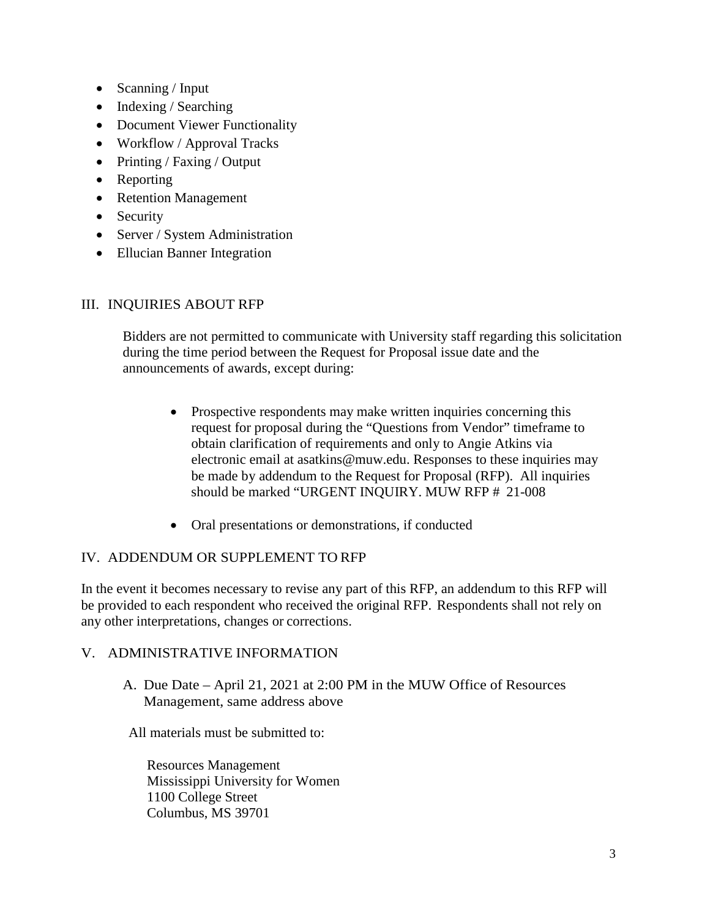- Scanning / Input
- Indexing / Searching
- Document Viewer Functionality
- Workflow / Approval Tracks
- Printing / Faxing / Output
- Reporting
- Retention Management
- Security
- Server / System Administration
- Ellucian Banner Integration

### III. INQUIRIES ABOUT RFP

Bidders are not permitted to communicate with University staff regarding this solicitation during the time period between the Request for Proposal issue date and the announcements of awards, except during:

- Prospective respondents may make written inquiries concerning this request for proposal during the "Questions from Vendor" timeframe to obtain clarification of requirements and only to Angie Atkins via electronic email at asatkins@muw.edu. Responses to these inquiries may be made by addendum to the Request for Proposal (RFP). All inquiries should be marked "URGENT INQUIRY. MUW RFP # 21-008
- Oral presentations or demonstrations, if conducted

### IV. ADDENDUM OR SUPPLEMENT TO RFP

In the event it becomes necessary to revise any part of this RFP, an addendum to this RFP will be provided to each respondent who received the original RFP. Respondents shall not rely on any other interpretations, changes or corrections.

### V. ADMINISTRATIVE INFORMATION

A. Due Date – April 21, 2021 at 2:00 PM in the MUW Office of Resources Management, same address above

All materials must be submitted to:

Resources Management Mississippi University for Women 1100 College Street Columbus, MS 39701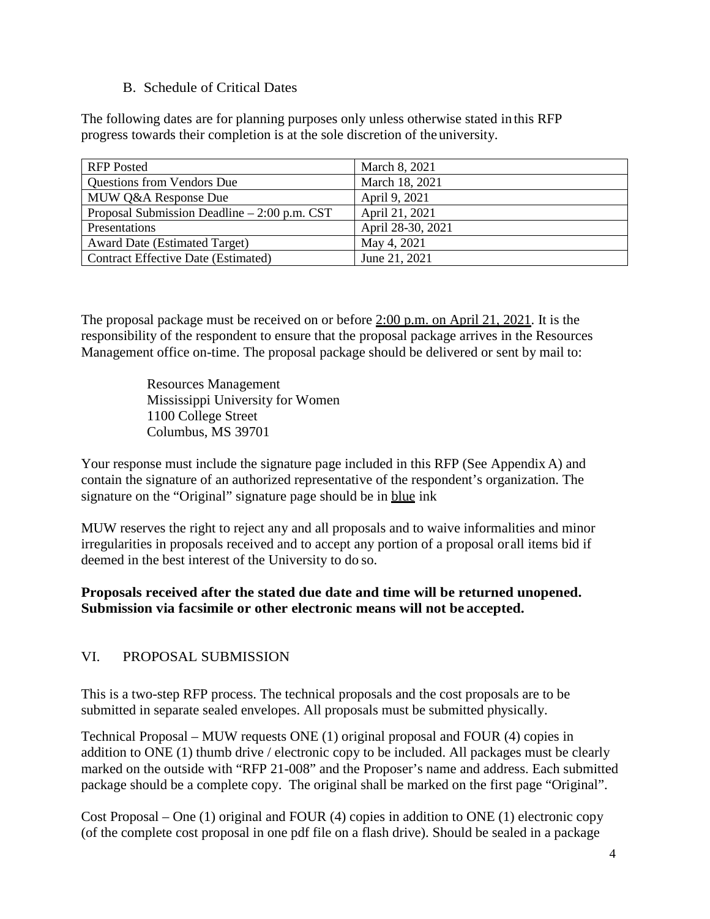### B. Schedule of Critical Dates

The following dates are for planning purposes only unless otherwise stated in this RFP progress towards their completion is at the sole discretion of the university.

| <b>RFP</b> Posted                             | March 8, 2021     |
|-----------------------------------------------|-------------------|
| <b>Questions from Vendors Due</b>             | March 18, 2021    |
| MUW Q&A Response Due                          | April 9, 2021     |
| Proposal Submission Deadline $-2:00$ p.m. CST | April 21, 2021    |
| Presentations                                 | April 28-30, 2021 |
| <b>Award Date (Estimated Target)</b>          | May 4, 2021       |
| Contract Effective Date (Estimated)           | June 21, 2021     |

The proposal package must be received on or before 2:00 p.m. on April 21, 2021. It is the responsibility of the respondent to ensure that the proposal package arrives in the Resources Management office on-time. The proposal package should be delivered or sent by mail to:

> Resources Management Mississippi University for Women 1100 College Street Columbus, MS 39701

Your response must include the signature page included in this RFP (See Appendix A) and contain the signature of an authorized representative of the respondent's organization. The signature on the "Original" signature page should be in blue ink

MUW reserves the right to reject any and all proposals and to waive informalities and minor irregularities in proposals received and to accept any portion of a proposal or all items bid if deemed in the best interest of the University to do so.

### **Proposals received after the stated due date and time will be returned unopened. Submission via facsimile or other electronic means will not be accepted.**

## VI. PROPOSAL SUBMISSION

This is a two-step RFP process. The technical proposals and the cost proposals are to be submitted in separate sealed envelopes. All proposals must be submitted physically.

Technical Proposal – MUW requests ONE (1) original proposal and FOUR (4) copies in addition to ONE (1) thumb drive / electronic copy to be included. All packages must be clearly marked on the outside with "RFP 21-008" and the Proposer's name and address. Each submitted package should be a complete copy. The original shall be marked on the first page "Original".

Cost Proposal – One (1) original and FOUR (4) copies in addition to ONE (1) electronic copy (of the complete cost proposal in one pdf file on a flash drive). Should be sealed in a package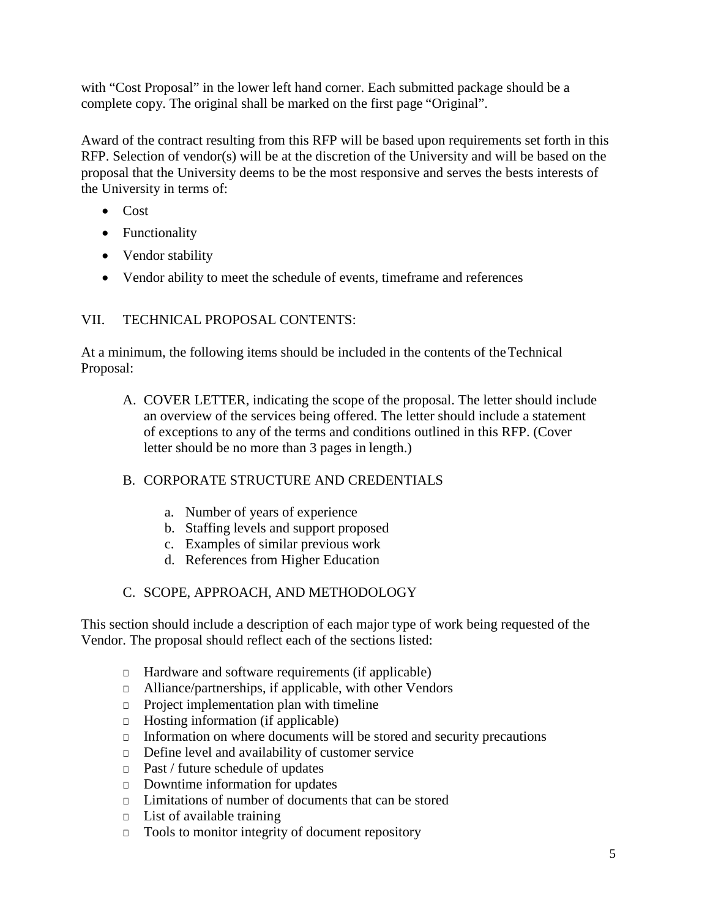with "Cost Proposal" in the lower left hand corner. Each submitted package should be a complete copy. The original shall be marked on the first page "Original".

Award of the contract resulting from this RFP will be based upon requirements set forth in this RFP. Selection of vendor(s) will be at the discretion of the University and will be based on the proposal that the University deems to be the most responsive and serves the bests interests of the University in terms of:

- Cost
- Functionality
- Vendor stability
- Vendor ability to meet the schedule of events, timeframe and references

### VII. TECHNICAL PROPOSAL CONTENTS:

At a minimum, the following items should be included in the contents of the Technical Proposal:

A. COVER LETTER, indicating the scope of the proposal. The letter should include an overview of the services being offered. The letter should include a statement of exceptions to any of the terms and conditions outlined in this RFP. (Cover letter should be no more than 3 pages in length.)

### B. CORPORATE STRUCTURE AND CREDENTIALS

- a. Number of years of experience
- b. Staffing levels and support proposed
- c. Examples of similar previous work
- d. References from Higher Education

### C. SCOPE, APPROACH, AND METHODOLOGY

This section should include a description of each major type of work being requested of the Vendor. The proposal should reflect each of the sections listed:

- □ Hardware and software requirements (if applicable)
- □ Alliance/partnerships, if applicable, with other Vendors
- □ Project implementation plan with timeline
- □ Hosting information (if applicable)
- □ Information on where documents will be stored and security precautions
- □ Define level and availability of customer service
- □ Past / future schedule of updates
- □ Downtime information for updates
- □ Limitations of number of documents that can be stored
- □ List of available training
- □ Tools to monitor integrity of document repository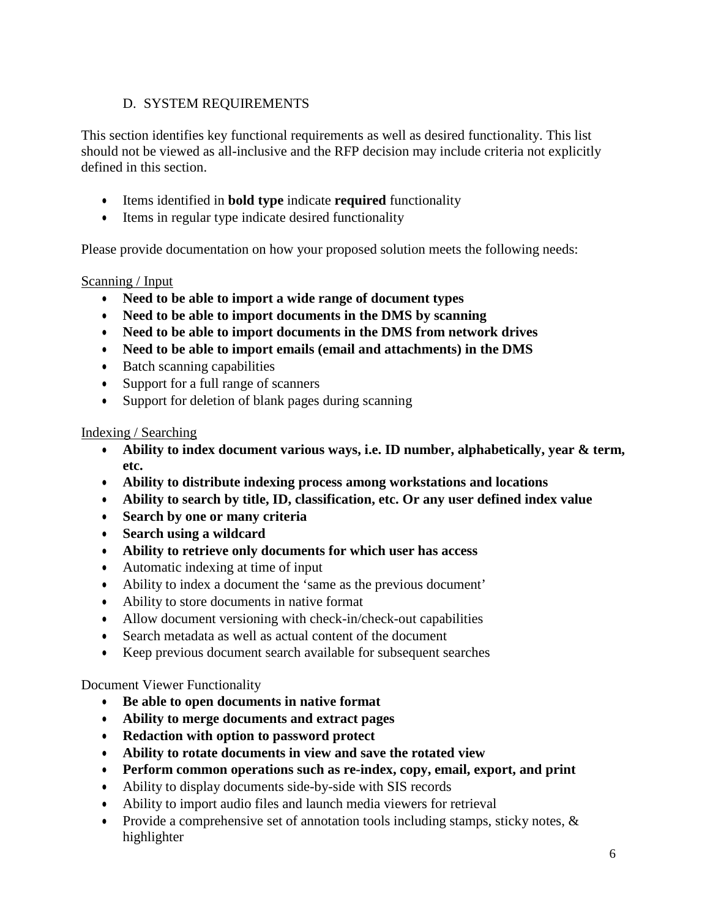## D. SYSTEM REQUIREMENTS

This section identifies key functional requirements as well as desired functionality. This list should not be viewed as all-inclusive and the RFP decision may include criteria not explicitly defined in this section.

- Items identified in **bold type** indicate **required** functionality
- Items in regular type indicate desired functionality

Please provide documentation on how your proposed solution meets the following needs:

## Scanning / Input

- **Need to be able to import a wide range of document types**
- **Need to be able to import documents in the DMS by scanning**
- **Need to be able to import documents in the DMS from network drives**
- **Need to be able to import emails (email and attachments) in the DMS**
- Batch scanning capabilities
- Support for a full range of scanners
- Support for deletion of blank pages during scanning

### Indexing / Searching

- **Ability to index document various ways, i.e. ID number, alphabetically, year & term, etc.**
- **Ability to distribute indexing process among workstations and locations**
- **Ability to search by title, ID, classification, etc. Or any user defined index value**
- **Search by one or many criteria**
- **Search using a wildcard**
- **Ability to retrieve only documents for which user has access**
- Automatic indexing at time of input
- Ability to index a document the 'same as the previous document'
- Ability to store documents in native format
- Allow document versioning with check-in/check-out capabilities
- Search metadata as well as actual content of the document
- Keep previous document search available for subsequent searches

### Document Viewer Functionality

- **Be able to open documents in native format**
- **Ability to merge documents and extract pages**
- **Redaction with option to password protect**
- **Ability to rotate documents in view and save the rotated view**
- **Perform common operations such as re-index, copy, email, export, and print**
- Ability to display documents side-by-side with SIS records
- Ability to import audio files and launch media viewers for retrieval
- Provide a comprehensive set of annotation tools including stamps, sticky notes, & highlighter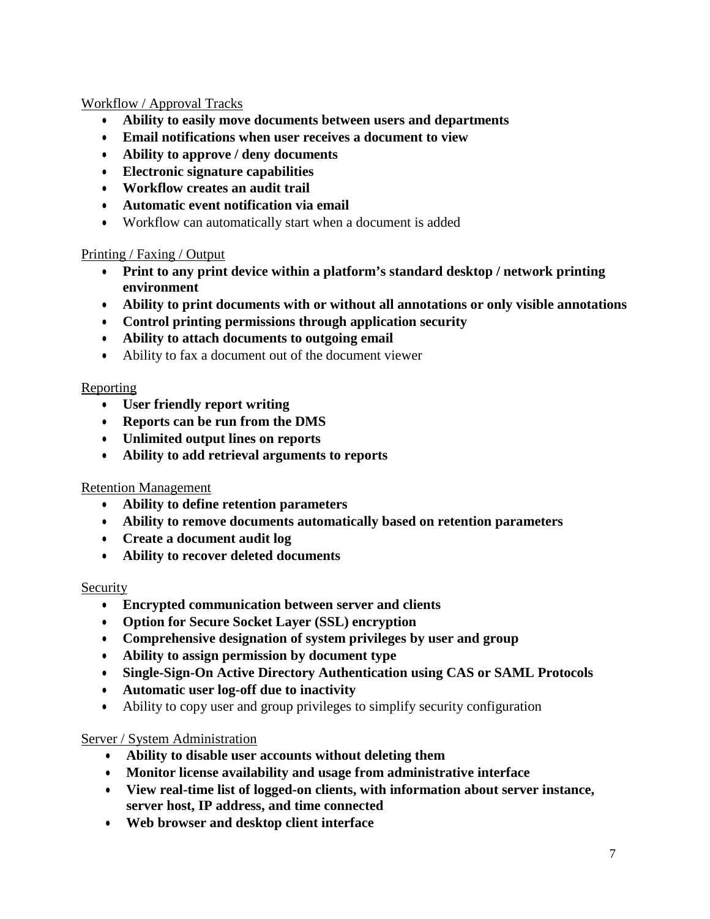### Workflow / Approval Tracks

- **Ability to easily move documents between users and departments**
- **Email notifications when user receives a document to view**
- **Ability to approve / deny documents**
- **Electronic signature capabilities**
- **Workflow creates an audit trail**
- **Automatic event notification via email**
- Workflow can automatically start when a document is added

### Printing / Faxing / Output

- **Print to any print device within a platform's standard desktop / network printing environment**
- **Ability to print documents with or without all annotations or only visible annotations**
- **Control printing permissions through application security**
- **Ability to attach documents to outgoing email**
- Ability to fax a document out of the document viewer

### Reporting

- **User friendly report writing**
- **Reports can be run from the DMS**
- **Unlimited output lines on reports**
- **Ability to add retrieval arguments to reports**

### Retention Management

- **Ability to define retention parameters**
- **Ability to remove documents automatically based on retention parameters**
- **Create a document audit log**
- **Ability to recover deleted documents**

### Security

- **Encrypted communication between server and clients**
- **Option for Secure Socket Layer (SSL) encryption**
- **Comprehensive designation of system privileges by user and group**
- **Ability to assign permission by document type**
- **Single-Sign-On Active Directory Authentication using CAS or SAML Protocols**
- **Automatic user log-off due to inactivity**
- Ability to copy user and group privileges to simplify security configuration

### Server / System Administration

- **Ability to disable user accounts without deleting them**
- **Monitor license availability and usage from administrative interface**
- **View real-time list of logged-on clients, with information about server instance, server host, IP address, and time connected**
- **Web browser and desktop client interface**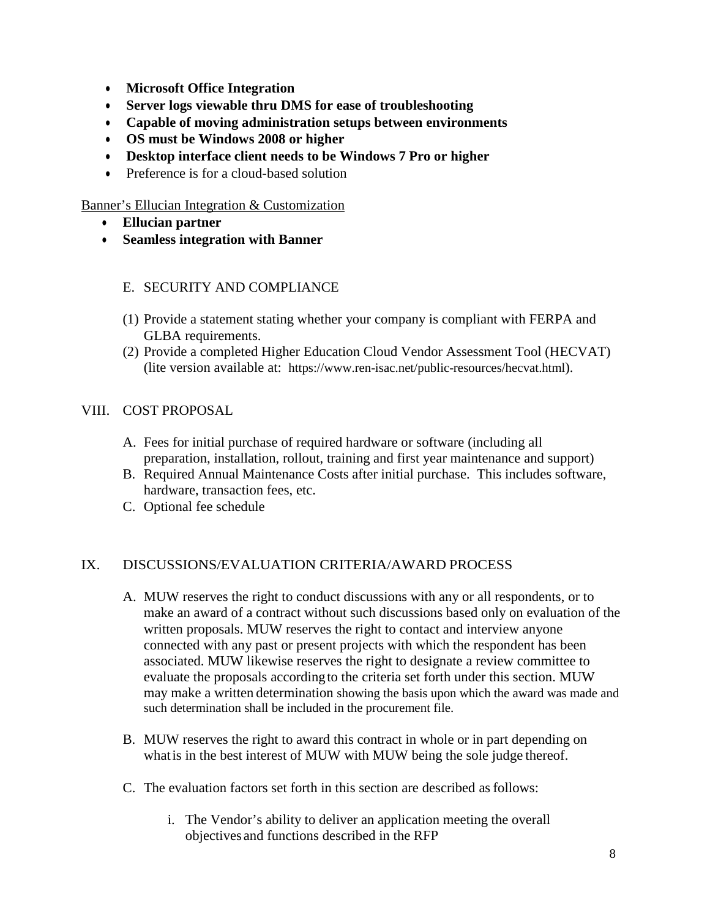- **Microsoft Office Integration**
- **Server logs viewable thru DMS for ease of troubleshooting**
- **Capable of moving administration setups between environments**
- **OS must be Windows 2008 or higher**
- **Desktop interface client needs to be Windows 7 Pro or higher**
- Preference is for a cloud-based solution

### Banner's Ellucian Integration & Customization

- **Ellucian partner**
- **Seamless integration with Banner**

### E. SECURITY AND COMPLIANCE

- (1) Provide a statement stating whether your company is compliant with FERPA and GLBA requirements.
- (2) Provide a completed Higher Education Cloud Vendor Assessment Tool (HECVAT) (lite version available at: [https://www.ren-isac.net/public-resources/hecvat.html\)](https://www.ren-isac.net/public-resources/hecvat.html).

### VIII. COST PROPOSAL

- A. Fees for initial purchase of required hardware or software (including all preparation, installation, rollout, training and first year maintenance and support)
- B. Required Annual Maintenance Costs after initial purchase. This includes software, hardware, transaction fees, etc.
- C. Optional fee schedule

### IX. DISCUSSIONS/EVALUATION CRITERIA/AWARD PROCESS

- A. MUW reserves the right to conduct discussions with any or all respondents, or to make an award of a contract without such discussions based only on evaluation of the written proposals. MUW reserves the right to contact and interview anyone connected with any past or present projects with which the respondent has been associated. MUW likewise reserves the right to designate a review committee to evaluate the proposals according to the criteria set forth under this section. MUW may make a written determination showing the basis upon which the award was made and such determination shall be included in the procurement file.
- B. MUW reserves the right to award this contract in whole or in part depending on whatis in the best interest of MUW with MUW being the sole judge thereof.
- C. The evaluation factors set forth in this section are described as follows:
	- i. The Vendor's ability to deliver an application meeting the overall objectives and functions described in the RFP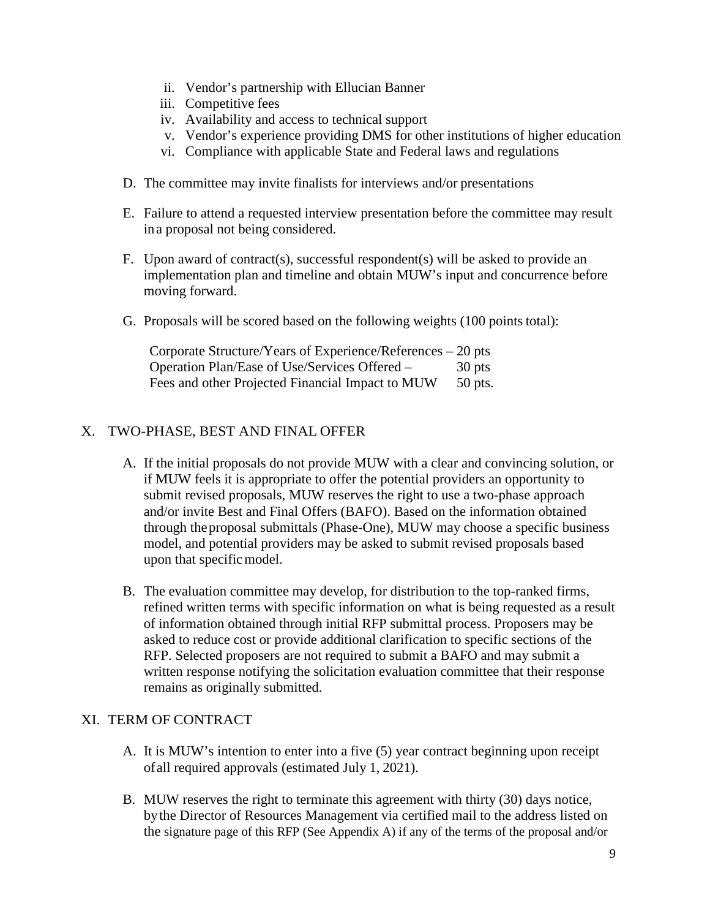- ii. Vendor's partnership with Ellucian Banner
- iii. Competitive fees
- iv. Availability and access to technical support
- v. Vendor's experience providing DMS for other institutions of higher education
- vi. Compliance with applicable State and Federal laws and regulations
- D. The committee may invite finalists for interviews and/or presentations
- E. Failure to attend a requested interview presentation before the committee may result in a proposal not being considered.
- F. Upon award of contract(s), successful respondent(s) will be asked to provide an implementation plan and timeline and obtain MUW's input and concurrence before moving forward.
- G. Proposals will be scored based on the following weights (100 points total):

| Corporate Structure/Years of Experience/References – 20 pts |           |
|-------------------------------------------------------------|-----------|
| Operation Plan/Ease of Use/Services Offered –               | 30 pts    |
| Fees and other Projected Financial Impact to MUW            | $50$ pts. |

## X. TWO-PHASE, BEST AND FINAL OFFER

- A. If the initial proposals do not provide MUW with a clear and convincing solution, or if MUW feels it is appropriate to offer the potential providers an opportunity to submit revised proposals, MUW reserves the right to use a two-phase approach and/or invite Best and Final Offers (BAFO). Based on the information obtained through the proposal submittals (Phase-One), MUW may choose a specific business model, and potential providers may be asked to submit revised proposals based upon that specific model.
- B. The evaluation committee may develop, for distribution to the top-ranked firms, refined written terms with specific information on what is being requested as a result of information obtained through initial RFP submittal process. Proposers may be asked to reduce cost or provide additional clarification to specific sections of the RFP. Selected proposers are not required to submit a BAFO and may submit a written response notifying the solicitation evaluation committee that their response remains as originally submitted.

### XI. TERM OF CONTRACT

- A. It is MUW's intention to enter into a five (5) year contract beginning upon receipt of all required approvals (estimated July 1, 2021).
- B. MUW reserves the right to terminate this agreement with thirty (30) days notice, bythe Director of Resources Management via certified mail to the address listed on the signature page of this RFP (See Appendix A) if any of the terms of the proposal and/or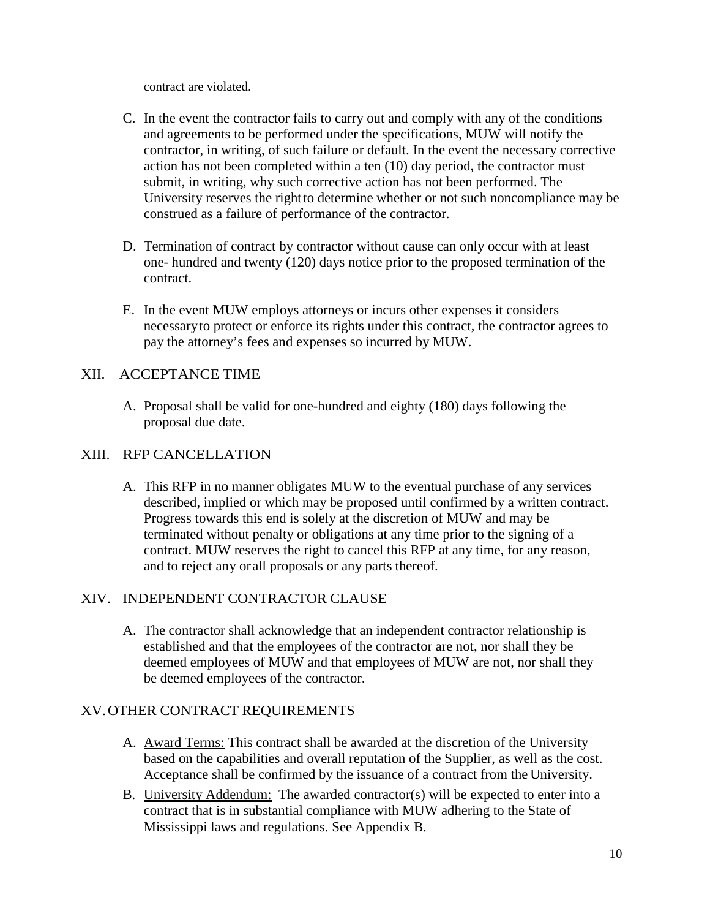contract are violated.

- C. In the event the contractor fails to carry out and comply with any of the conditions and agreements to be performed under the specifications, MUW will notify the contractor, in writing, of such failure or default. In the event the necessary corrective action has not been completed within a ten (10) day period, the contractor must submit, in writing, why such corrective action has not been performed. The University reserves the right to determine whether or not such noncompliance may be construed as a failure of performance of the contractor.
- D. Termination of contract by contractor without cause can only occur with at least one- hundred and twenty (120) days notice prior to the proposed termination of the contract.
- E. In the event MUW employs attorneys or incurs other expenses it considers necessary to protect or enforce its rights under this contract, the contractor agrees to pay the attorney's fees and expenses so incurred by MUW.

### XII. ACCEPTANCE TIME

A. Proposal shall be valid for one-hundred and eighty (180) days following the proposal due date.

### XIII. RFP CANCELLATION

A. This RFP in no manner obligates MUW to the eventual purchase of any services described, implied or which may be proposed until confirmed by a written contract. Progress towards this end is solely at the discretion of MUW and may be terminated without penalty or obligations at any time prior to the signing of a contract. MUW reserves the right to cancel this RFP at any time, for any reason, and to reject any or all proposals or any parts thereof.

### XIV. INDEPENDENT CONTRACTOR CLAUSE

A. The contractor shall acknowledge that an independent contractor relationship is established and that the employees of the contractor are not, nor shall they be deemed employees of MUW and that employees of MUW are not, nor shall they be deemed employees of the contractor.

### XV.OTHER CONTRACT REQUIREMENTS

- A. Award Terms: This contract shall be awarded at the discretion of the University based on the capabilities and overall reputation of the Supplier, as well as the cost. Acceptance shall be confirmed by the issuance of a contract from the University.
- B. University Addendum: The awarded contractor(s) will be expected to enter into a contract that is in substantial compliance with MUW adhering to the State of Mississippi laws and regulations. See Appendix B.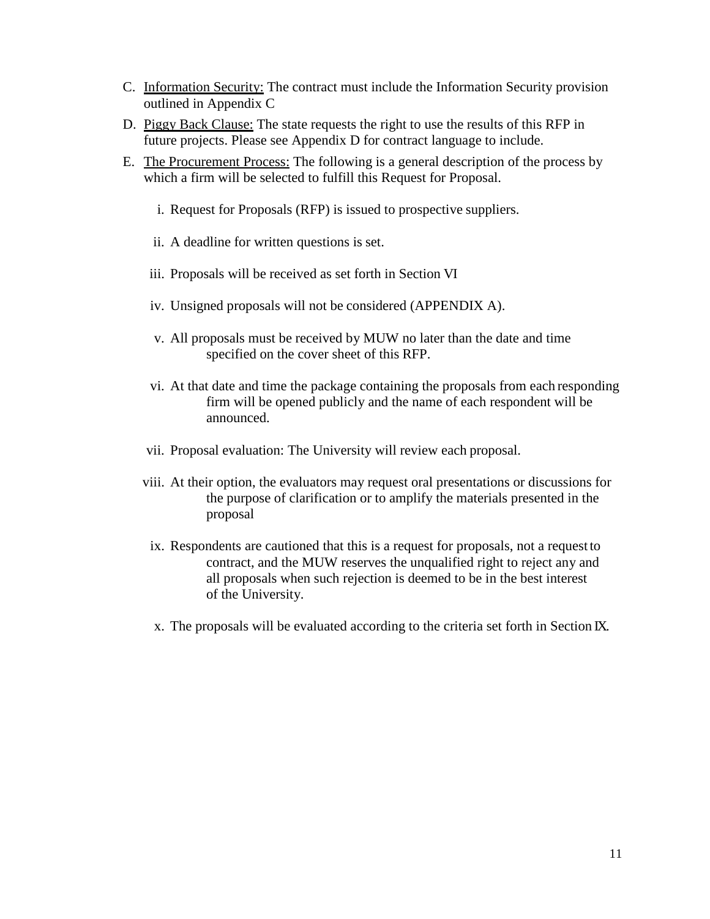- C. Information Security: The contract must include the Information Security provision outlined in Appendix C
- D. Piggy Back Clause: The state requests the right to use the results of this RFP in future projects. Please see Appendix D for contract language to include.
- E. The Procurement Process: The following is a general description of the process by which a firm will be selected to fulfill this Request for Proposal.
	- i. Request for Proposals (RFP) is issued to prospective suppliers.
	- ii. A deadline for written questions is set.
	- iii. Proposals will be received as set forth in Section VI
	- iv. Unsigned proposals will not be considered (APPENDIX A).
	- v. All proposals must be received by MUW no later than the date and time specified on the cover sheet of this RFP.
	- vi. At that date and time the package containing the proposals from each responding firm will be opened publicly and the name of each respondent will be announced.
	- vii. Proposal evaluation: The University will review each proposal.
	- viii. At their option, the evaluators may request oral presentations or discussions for the purpose of clarification or to amplify the materials presented in the proposal
	- ix. Respondents are cautioned that this is a request for proposals, not a request to contract, and the MUW reserves the unqualified right to reject any and all proposals when such rejection is deemed to be in the best interest of the University.
	- x. The proposals will be evaluated according to the criteria set forth in Section IX.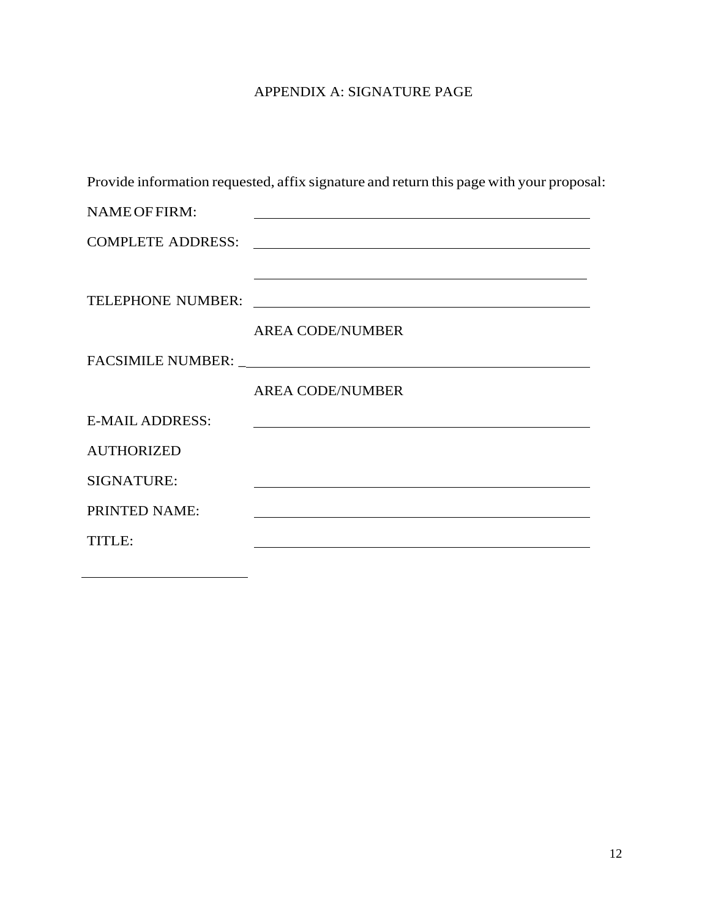# APPENDIX A: SIGNATURE PAGE

|                        | Provide information requested, affix signature and return this page with your proposal:                                                                                                                                       |
|------------------------|-------------------------------------------------------------------------------------------------------------------------------------------------------------------------------------------------------------------------------|
| NAME OF FIRM:          | <u> 1989 - Johann John Stein, markin fan it ferstjer fan de ferstjer fan it ferstjer fan de ferstjer fan it fers</u>                                                                                                          |
|                        | COMPLETE ADDRESS:                                                                                                                                                                                                             |
|                        | <u> 1989 - Johann Stoff, amerikansk politiker (d. 1989)</u>                                                                                                                                                                   |
|                        |                                                                                                                                                                                                                               |
|                        | <b>AREA CODE/NUMBER</b>                                                                                                                                                                                                       |
|                        |                                                                                                                                                                                                                               |
|                        | <b>AREA CODE/NUMBER</b>                                                                                                                                                                                                       |
| <b>E-MAIL ADDRESS:</b> | <u> 1989 - Johann Stoff, deutscher Stoffen und der Stoffen und der Stoffen und der Stoffen und der Stoffen und d</u>                                                                                                          |
| <b>AUTHORIZED</b>      |                                                                                                                                                                                                                               |
| SIGNATURE:             |                                                                                                                                                                                                                               |
| PRINTED NAME:          |                                                                                                                                                                                                                               |
| <b>TITLE:</b>          | the control of the control of the control of the control of the control of the control of the control of the control of the control of the control of the control of the control of the control of the control of the control |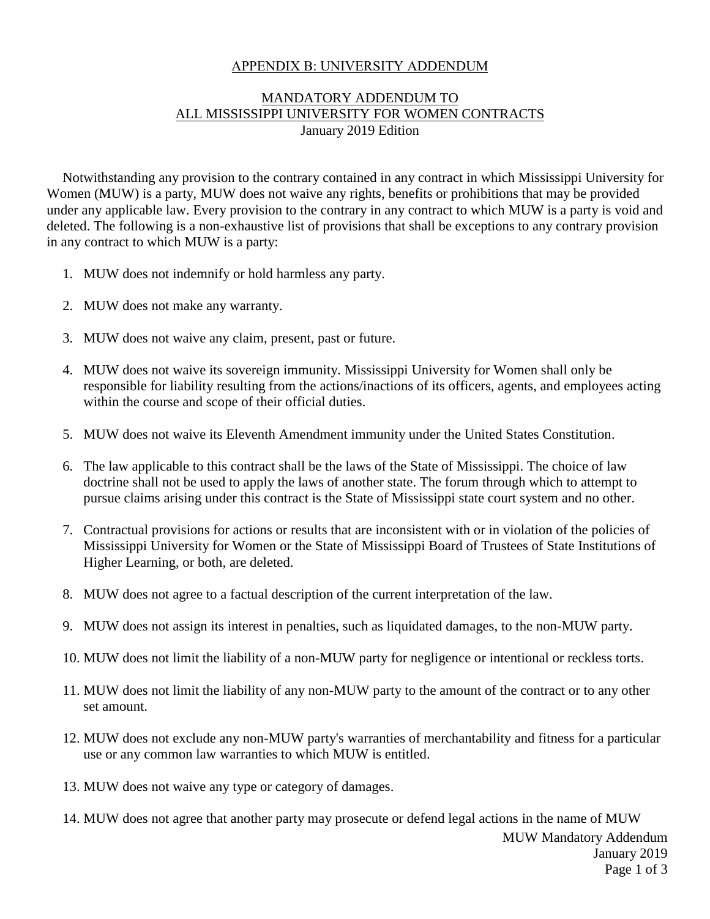### APPENDIX B: UNIVERSITY ADDENDUM

### MANDATORY ADDENDUM TO ALL MISSISSIPPI UNIVERSITY FOR WOMEN CONTRACTS January 2019 Edition

Notwithstanding any provision to the contrary contained in any contract in which Mississippi University for Women (MUW) is a party, MUW does not waive any rights, benefits or prohibitions that may be provided under any applicable law. Every provision to the contrary in any contract to which MUW is a party is void and deleted. The following is a non-exhaustive list of provisions that shall be exceptions to any contrary provision in any contract to which MUW is a party:

- 1. MUW does not indemnify or hold harmless any party.
- 2. MUW does not make any warranty.
- 3. MUW does not waive any claim, present, past or future.
- 4. MUW does not waive its sovereign immunity. Mississippi University for Women shall only be responsible for liability resulting from the actions/inactions of its officers, agents, and employees acting within the course and scope of their official duties.
- 5. MUW does not waive its Eleventh Amendment immunity under the United States Constitution.
- 6. The law applicable to this contract shall be the laws of the State of Mississippi. The choice of law doctrine shall not be used to apply the laws of another state. The forum through which to attempt to pursue claims arising under this contract is the State of Mississippi state court system and no other.
- 7. Contractual provisions for actions or results that are inconsistent with or in violation of the policies of Mississippi University for Women or the State of Mississippi Board of Trustees of State Institutions of Higher Learning, or both, are deleted.
- 8. MUW does not agree to a factual description of the current interpretation of the law.
- 9. MUW does not assign its interest in penalties, such as liquidated damages, to the non-MUW party.
- 10. MUW does not limit the liability of a non-MUW party for negligence or intentional or reckless torts.
- 11. MUW does not limit the liability of any non-MUW party to the amount of the contract or to any other set amount.
- 12. MUW does not exclude any non-MUW party's warranties of merchantability and fitness for a particular use or any common law warranties to which MUW is entitled.
- 13. MUW does not waive any type or category of damages.
- 14. MUW does not agree that another party may prosecute or defend legal actions in the name of MUW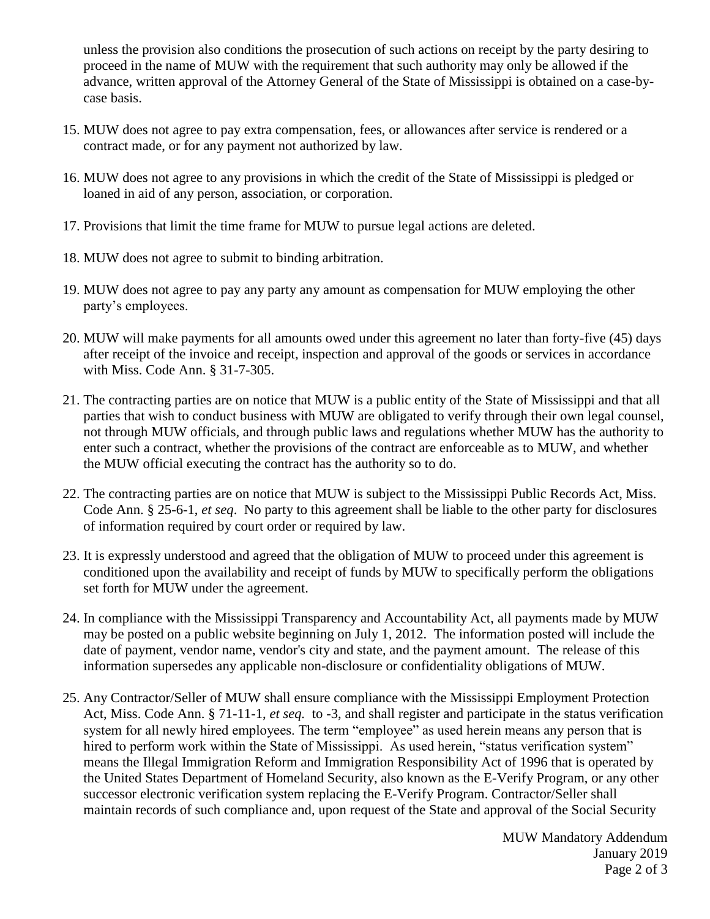unless the provision also conditions the prosecution of such actions on receipt by the party desiring to proceed in the name of MUW with the requirement that such authority may only be allowed if the advance, written approval of the Attorney General of the State of Mississippi is obtained on a case-bycase basis.

- 15. MUW does not agree to pay extra compensation, fees, or allowances after service is rendered or a contract made, or for any payment not authorized by law.
- 16. MUW does not agree to any provisions in which the credit of the State of Mississippi is pledged or loaned in aid of any person, association, or corporation.
- 17. Provisions that limit the time frame for MUW to pursue legal actions are deleted.
- 18. MUW does not agree to submit to binding arbitration.
- 19. MUW does not agree to pay any party any amount as compensation for MUW employing the other party's employees.
- 20. MUW will make payments for all amounts owed under this agreement no later than forty-five (45) days after receipt of the invoice and receipt, inspection and approval of the goods or services in accordance with Miss. Code Ann. § 31-7-305.
- 21. The contracting parties are on notice that MUW is a public entity of the State of Mississippi and that all parties that wish to conduct business with MUW are obligated to verify through their own legal counsel, not through MUW officials, and through public laws and regulations whether MUW has the authority to enter such a contract, whether the provisions of the contract are enforceable as to MUW, and whether the MUW official executing the contract has the authority so to do.
- 22. The contracting parties are on notice that MUW is subject to the Mississippi Public Records Act, Miss. Code Ann. § 25-6-1, *et seq*. No party to this agreement shall be liable to the other party for disclosures of information required by court order or required by law.
- 23. It is expressly understood and agreed that the obligation of MUW to proceed under this agreement is conditioned upon the availability and receipt of funds by MUW to specifically perform the obligations set forth for MUW under the agreement.
- 24. In compliance with the Mississippi Transparency and Accountability Act, all payments made by MUW may be posted on a public website beginning on July 1, 2012. The information posted will include the date of payment, vendor name, vendor's city and state, and the payment amount. The release of this information supersedes any applicable non-disclosure or confidentiality obligations of MUW.
- 25. Any Contractor/Seller of MUW shall ensure compliance with the Mississippi Employment Protection Act, Miss. Code Ann. § 71-11-1, *et seq.* to -3, and shall register and participate in the status verification system for all newly hired employees. The term "employee" as used herein means any person that is hired to perform work within the State of Mississippi. As used herein, "status verification system" means the Illegal Immigration Reform and Immigration Responsibility Act of 1996 that is operated by the United States Department of Homeland Security, also known as the E-Verify Program, or any other successor electronic verification system replacing the E-Verify Program. Contractor/Seller shall maintain records of such compliance and, upon request of the State and approval of the Social Security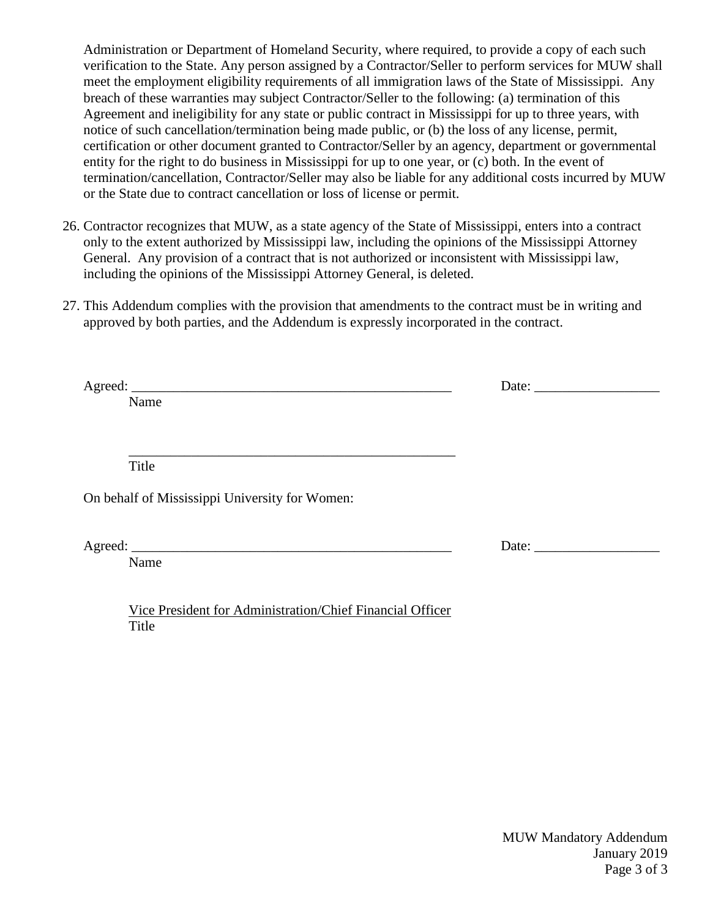Administration or Department of Homeland Security, where required, to provide a copy of each such verification to the State. Any person assigned by a Contractor/Seller to perform services for MUW shall meet the employment eligibility requirements of all immigration laws of the State of Mississippi. Any breach of these warranties may subject Contractor/Seller to the following: (a) termination of this Agreement and ineligibility for any state or public contract in Mississippi for up to three years, with notice of such cancellation/termination being made public, or (b) the loss of any license, permit, certification or other document granted to Contractor/Seller by an agency, department or governmental entity for the right to do business in Mississippi for up to one year, or (c) both. In the event of termination/cancellation, Contractor/Seller may also be liable for any additional costs incurred by MUW or the State due to contract cancellation or loss of license or permit.

- 26. Contractor recognizes that MUW, as a state agency of the State of Mississippi, enters into a contract only to the extent authorized by Mississippi law, including the opinions of the Mississippi Attorney General. Any provision of a contract that is not authorized or inconsistent with Mississippi law, including the opinions of the Mississippi Attorney General, is deleted.
- 27. This Addendum complies with the provision that amendments to the contract must be in writing and approved by both parties, and the Addendum is expressly incorporated in the contract.

|                                                  | Date: $\_\_$ |
|--------------------------------------------------|--------------|
| Name                                             |              |
|                                                  |              |
|                                                  |              |
| Title                                            |              |
| On behalf of Mississippi University for Women:   |              |
| Name                                             |              |
|                                                  |              |
|                                                  |              |
| مصاحبا المستحيل المتحدث المتحدث المتحدث المستحين |              |

Vice President for Administration/Chief Financial Officer Title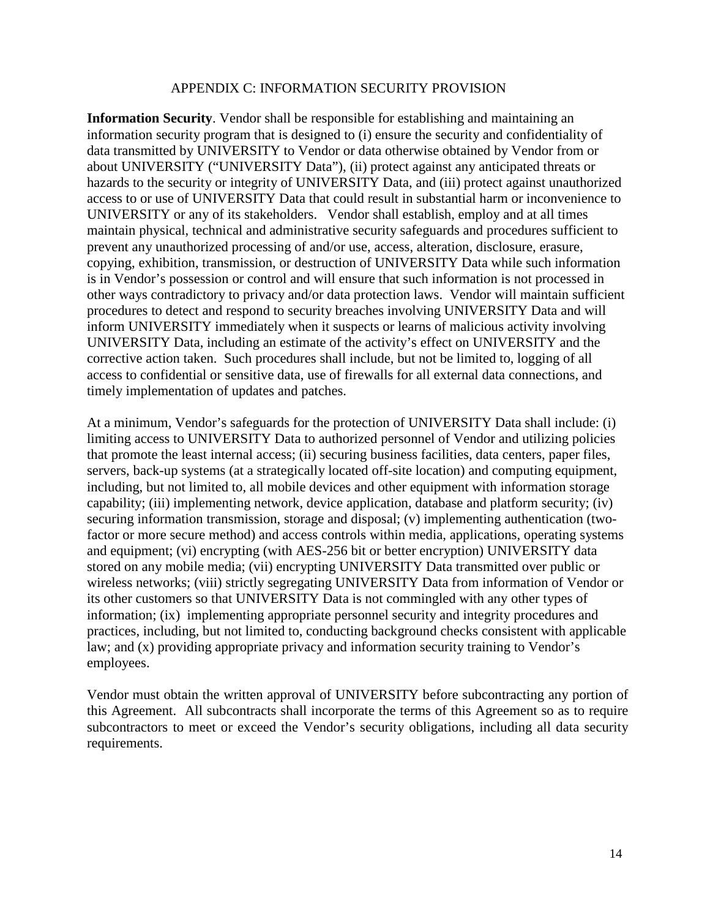### APPENDIX C: INFORMATION SECURITY PROVISION

**Information Security**. Vendor shall be responsible for establishing and maintaining an information security program that is designed to (i) ensure the security and confidentiality of data transmitted by UNIVERSITY to Vendor or data otherwise obtained by Vendor from or about UNIVERSITY ("UNIVERSITY Data"), (ii) protect against any anticipated threats or hazards to the security or integrity of UNIVERSITY Data, and (iii) protect against unauthorized access to or use of UNIVERSITY Data that could result in substantial harm or inconvenience to UNIVERSITY or any of its stakeholders. Vendor shall establish, employ and at all times maintain physical, technical and administrative security safeguards and procedures sufficient to prevent any unauthorized processing of and/or use, access, alteration, disclosure, erasure, copying, exhibition, transmission, or destruction of UNIVERSITY Data while such information is in Vendor's possession or control and will ensure that such information is not processed in other ways contradictory to privacy and/or data protection laws. Vendor will maintain sufficient procedures to detect and respond to security breaches involving UNIVERSITY Data and will inform UNIVERSITY immediately when it suspects or learns of malicious activity involving UNIVERSITY Data, including an estimate of the activity's effect on UNIVERSITY and the corrective action taken. Such procedures shall include, but not be limited to, logging of all access to confidential or sensitive data, use of firewalls for all external data connections, and timely implementation of updates and patches.

At a minimum, Vendor's safeguards for the protection of UNIVERSITY Data shall include: (i) limiting access to UNIVERSITY Data to authorized personnel of Vendor and utilizing policies that promote the least internal access; (ii) securing business facilities, data centers, paper files, servers, back-up systems (at a strategically located off-site location) and computing equipment, including, but not limited to, all mobile devices and other equipment with information storage capability; (iii) implementing network, device application, database and platform security; (iv) securing information transmission, storage and disposal; (v) implementing authentication (twofactor or more secure method) and access controls within media, applications, operating systems and equipment; (vi) encrypting (with AES-256 bit or better encryption) UNIVERSITY data stored on any mobile media; (vii) encrypting UNIVERSITY Data transmitted over public or wireless networks; (viii) strictly segregating UNIVERSITY Data from information of Vendor or its other customers so that UNIVERSITY Data is not commingled with any other types of information; (ix) implementing appropriate personnel security and integrity procedures and practices, including, but not limited to, conducting background checks consistent with applicable law; and (x) providing appropriate privacy and information security training to Vendor's employees.

Vendor must obtain the written approval of UNIVERSITY before subcontracting any portion of this Agreement. All subcontracts shall incorporate the terms of this Agreement so as to require subcontractors to meet or exceed the Vendor's security obligations, including all data security requirements.